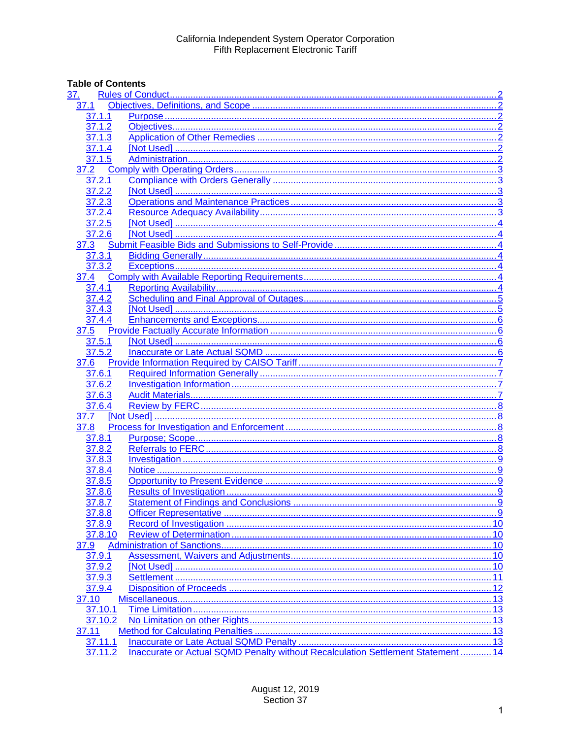# **Table of Contents**

| <u>37.</u> |                                                                                  |  |
|------------|----------------------------------------------------------------------------------|--|
| 37.1       |                                                                                  |  |
| 37.1.1     |                                                                                  |  |
| 37.1.2     |                                                                                  |  |
| 37.1.3     |                                                                                  |  |
| 37.1.4     |                                                                                  |  |
| 37.1.5     |                                                                                  |  |
| 37.2       |                                                                                  |  |
| 37.2.1     |                                                                                  |  |
| 37.2.2     |                                                                                  |  |
| 37.2.3     |                                                                                  |  |
| 37.2.4     |                                                                                  |  |
| 37.2.5     |                                                                                  |  |
| 37.2.6     |                                                                                  |  |
| 37.3       |                                                                                  |  |
| 37.3.1     |                                                                                  |  |
| 37.3.2     |                                                                                  |  |
| 37.4       |                                                                                  |  |
| 37.4.1     |                                                                                  |  |
| 37.4.2     |                                                                                  |  |
| 37.4.3     |                                                                                  |  |
| 37.4.4     |                                                                                  |  |
|            |                                                                                  |  |
| 37.5       |                                                                                  |  |
| 37.5.1     |                                                                                  |  |
| 37.5.2     |                                                                                  |  |
| 37.6       |                                                                                  |  |
| 37.6.1     |                                                                                  |  |
| 37.6.2     |                                                                                  |  |
| 37.6.3     |                                                                                  |  |
| 37.6.4     |                                                                                  |  |
| 37.7       |                                                                                  |  |
| 37.8       |                                                                                  |  |
| 37.8.1     |                                                                                  |  |
| 37.8.2     |                                                                                  |  |
| 37.8.3     |                                                                                  |  |
| 37.8.4     |                                                                                  |  |
| 37.8.5     |                                                                                  |  |
| 37.8.6     |                                                                                  |  |
| 37.8.7     |                                                                                  |  |
| 37.8.8     |                                                                                  |  |
| 37.8.9     |                                                                                  |  |
| 37.8.10    |                                                                                  |  |
| 37.9       |                                                                                  |  |
| 37.9.1     |                                                                                  |  |
| 37.9.2     |                                                                                  |  |
| 37.9.3     |                                                                                  |  |
| 37.9.4     |                                                                                  |  |
| 37.10      |                                                                                  |  |
| 37.10.1    |                                                                                  |  |
| 37.10.2    |                                                                                  |  |
| 37.11      |                                                                                  |  |
| 37.11.1    |                                                                                  |  |
| 37.11.2    | Inaccurate or Actual SQMD Penalty without Recalculation Settlement Statement  14 |  |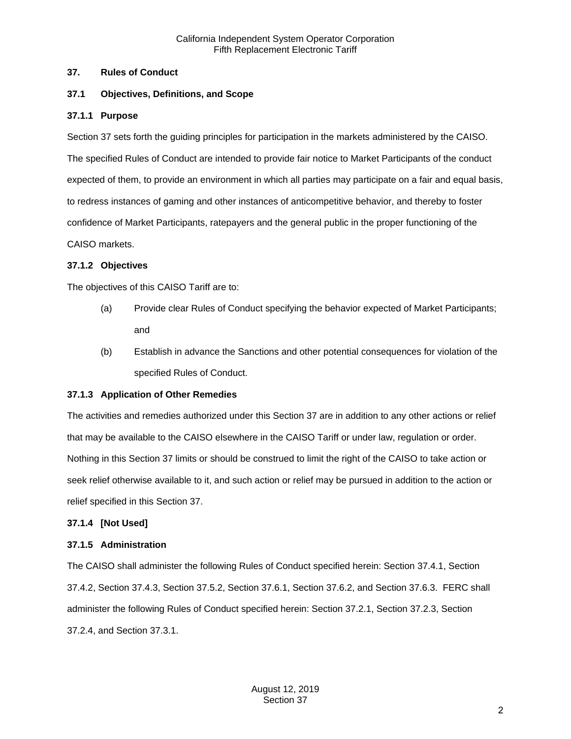#### <span id="page-1-0"></span>**37. Rules of Conduct**

#### <span id="page-1-1"></span>**37.1 Objectives, Definitions, and Scope**

#### <span id="page-1-2"></span>**37.1.1 Purpose**

Section 37 sets forth the guiding principles for participation in the markets administered by the CAISO. The specified Rules of Conduct are intended to provide fair notice to Market Participants of the conduct expected of them, to provide an environment in which all parties may participate on a fair and equal basis, to redress instances of gaming and other instances of anticompetitive behavior, and thereby to foster confidence of Market Participants, ratepayers and the general public in the proper functioning of the CAISO markets.

#### <span id="page-1-3"></span>**37.1.2 Objectives**

The objectives of this CAISO Tariff are to:

- (a) Provide clear Rules of Conduct specifying the behavior expected of Market Participants; and
- (b) Establish in advance the Sanctions and other potential consequences for violation of the specified Rules of Conduct.

#### <span id="page-1-4"></span>**37.1.3 Application of Other Remedies**

The activities and remedies authorized under this Section 37 are in addition to any other actions or relief that may be available to the CAISO elsewhere in the CAISO Tariff or under law, regulation or order. Nothing in this Section 37 limits or should be construed to limit the right of the CAISO to take action or seek relief otherwise available to it, and such action or relief may be pursued in addition to the action or relief specified in this Section 37.

#### <span id="page-1-5"></span>**37.1.4 [Not Used]**

#### <span id="page-1-6"></span>**37.1.5 Administration**

The CAISO shall administer the following Rules of Conduct specified herein: Section 37.4.1, Section 37.4.2, Section 37.4.3, Section 37.5.2, Section 37.6.1, Section 37.6.2, and Section 37.6.3. FERC shall administer the following Rules of Conduct specified herein: Section 37.2.1, Section 37.2.3, Section 37.2.4, and Section 37.3.1.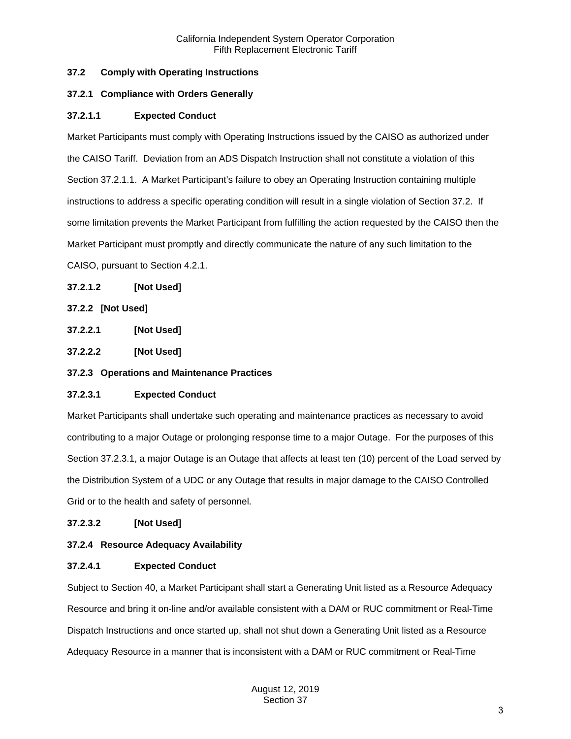# <span id="page-2-0"></span>**37.2 Comply with Operating Instructions**

## <span id="page-2-1"></span>**37.2.1 Compliance with Orders Generally**

## **37.2.1.1 Expected Conduct**

Market Participants must comply with Operating Instructions issued by the CAISO as authorized under the CAISO Tariff. Deviation from an ADS Dispatch Instruction shall not constitute a violation of this Section 37.2.1.1. A Market Participant's failure to obey an Operating Instruction containing multiple instructions to address a specific operating condition will result in a single violation of Section 37.2. If some limitation prevents the Market Participant from fulfilling the action requested by the CAISO then the Market Participant must promptly and directly communicate the nature of any such limitation to the CAISO, pursuant to Section 4.2.1.

## **37.2.1.2 [Not Used]**

# <span id="page-2-2"></span>**37.2.2 [Not Used]**

**37.2.2.1 [Not Used]**

**37.2.2.2 [Not Used]**

## <span id="page-2-3"></span>**37.2.3 Operations and Maintenance Practices**

## **37.2.3.1 Expected Conduct**

Market Participants shall undertake such operating and maintenance practices as necessary to avoid contributing to a major Outage or prolonging response time to a major Outage. For the purposes of this Section 37.2.3.1, a major Outage is an Outage that affects at least ten (10) percent of the Load served by the Distribution System of a UDC or any Outage that results in major damage to the CAISO Controlled Grid or to the health and safety of personnel.

## **37.2.3.2 [Not Used]**

## <span id="page-2-4"></span>**37.2.4 Resource Adequacy Availability**

## **37.2.4.1 Expected Conduct**

Subject to Section 40, a Market Participant shall start a Generating Unit listed as a Resource Adequacy Resource and bring it on-line and/or available consistent with a DAM or RUC commitment or Real-Time Dispatch Instructions and once started up, shall not shut down a Generating Unit listed as a Resource Adequacy Resource in a manner that is inconsistent with a DAM or RUC commitment or Real-Time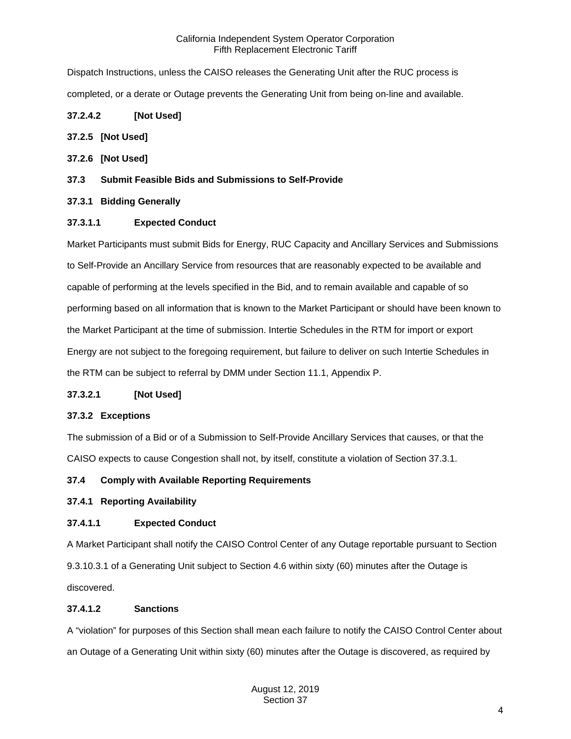Dispatch Instructions, unless the CAISO releases the Generating Unit after the RUC process is completed, or a derate or Outage prevents the Generating Unit from being on-line and available.

# **37.2.4.2 [Not Used]**

## <span id="page-3-0"></span>**37.2.5 [Not Used]**

- <span id="page-3-1"></span>**37.2.6 [Not Used]**
- <span id="page-3-2"></span>**37.3 Submit Feasible Bids and Submissions to Self-Provide**

# <span id="page-3-3"></span>**37.3.1 Bidding Generally**

# **37.3.1.1 Expected Conduct**

Market Participants must submit Bids for Energy, RUC Capacity and Ancillary Services and Submissions to Self-Provide an Ancillary Service from resources that are reasonably expected to be available and capable of performing at the levels specified in the Bid, and to remain available and capable of so performing based on all information that is known to the Market Participant or should have been known to the Market Participant at the time of submission. Intertie Schedules in the RTM for import or export Energy are not subject to the foregoing requirement, but failure to deliver on such Intertie Schedules in the RTM can be subject to referral by DMM under Section 11.1, Appendix P.

## **37.3.2.1 [Not Used]**

## <span id="page-3-4"></span>**37.3.2 Exceptions**

The submission of a Bid or of a Submission to Self-Provide Ancillary Services that causes, or that the CAISO expects to cause Congestion shall not, by itself, constitute a violation of Section 37.3.1.

## <span id="page-3-5"></span>**37.4 Comply with Available Reporting Requirements**

## <span id="page-3-6"></span>**37.4.1 Reporting Availability**

## **37.4.1.1 Expected Conduct**

A Market Participant shall notify the CAISO Control Center of any Outage reportable pursuant to Section 9.3.10.3.1 of a Generating Unit subject to Section 4.6 within sixty (60) minutes after the Outage is discovered.

## **37.4.1.2 Sanctions**

A "violation" for purposes of this Section shall mean each failure to notify the CAISO Control Center about an Outage of a Generating Unit within sixty (60) minutes after the Outage is discovered, as required by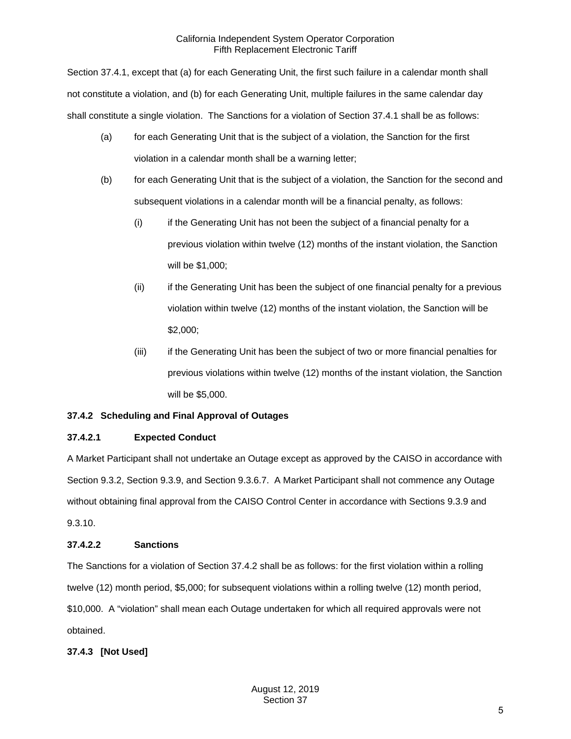Section 37.4.1, except that (a) for each Generating Unit, the first such failure in a calendar month shall not constitute a violation, and (b) for each Generating Unit, multiple failures in the same calendar day shall constitute a single violation. The Sanctions for a violation of Section 37.4.1 shall be as follows:

- (a) for each Generating Unit that is the subject of a violation, the Sanction for the first violation in a calendar month shall be a warning letter;
- (b) for each Generating Unit that is the subject of a violation, the Sanction for the second and subsequent violations in a calendar month will be a financial penalty, as follows:
	- (i) if the Generating Unit has not been the subject of a financial penalty for a previous violation within twelve (12) months of the instant violation, the Sanction will be \$1,000;
	- (ii) if the Generating Unit has been the subject of one financial penalty for a previous violation within twelve (12) months of the instant violation, the Sanction will be \$2,000;
	- (iii) if the Generating Unit has been the subject of two or more financial penalties for previous violations within twelve (12) months of the instant violation, the Sanction will be \$5,000.

# <span id="page-4-0"></span>**37.4.2 Scheduling and Final Approval of Outages**

# **37.4.2.1 Expected Conduct**

A Market Participant shall not undertake an Outage except as approved by the CAISO in accordance with Section 9.3.2, Section 9.3.9, and Section 9.3.6.7. A Market Participant shall not commence any Outage without obtaining final approval from the CAISO Control Center in accordance with Sections 9.3.9 and 9.3.10.

# **37.4.2.2 Sanctions**

The Sanctions for a violation of Section 37.4.2 shall be as follows: for the first violation within a rolling twelve (12) month period, \$5,000; for subsequent violations within a rolling twelve (12) month period, \$10,000. A "violation" shall mean each Outage undertaken for which all required approvals were not obtained.

# <span id="page-4-1"></span>**37.4.3 [Not Used]**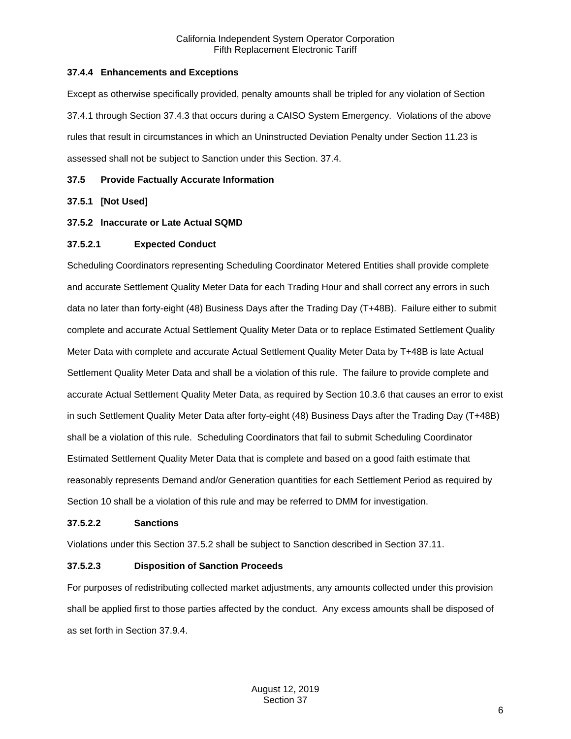## <span id="page-5-0"></span>**37.4.4 Enhancements and Exceptions**

Except as otherwise specifically provided, penalty amounts shall be tripled for any violation of Section 37.4.1 through Section 37.4.3 that occurs during a CAISO System Emergency. Violations of the above rules that result in circumstances in which an Uninstructed Deviation Penalty under Section 11.23 is assessed shall not be subject to Sanction under this Section. 37.4.

#### <span id="page-5-1"></span>**37.5 Provide Factually Accurate Information**

#### <span id="page-5-2"></span>**37.5.1 [Not Used]**

#### <span id="page-5-3"></span>**37.5.2 Inaccurate or Late Actual SQMD**

#### **37.5.2.1 Expected Conduct**

Scheduling Coordinators representing Scheduling Coordinator Metered Entities shall provide complete and accurate Settlement Quality Meter Data for each Trading Hour and shall correct any errors in such data no later than forty-eight (48) Business Days after the Trading Day (T+48B). Failure either to submit complete and accurate Actual Settlement Quality Meter Data or to replace Estimated Settlement Quality Meter Data with complete and accurate Actual Settlement Quality Meter Data by T+48B is late Actual Settlement Quality Meter Data and shall be a violation of this rule. The failure to provide complete and accurate Actual Settlement Quality Meter Data, as required by Section 10.3.6 that causes an error to exist in such Settlement Quality Meter Data after forty-eight (48) Business Days after the Trading Day (T+48B) shall be a violation of this rule. Scheduling Coordinators that fail to submit Scheduling Coordinator Estimated Settlement Quality Meter Data that is complete and based on a good faith estimate that reasonably represents Demand and/or Generation quantities for each Settlement Period as required by Section 10 shall be a violation of this rule and may be referred to DMM for investigation.

#### **37.5.2.2 Sanctions**

Violations under this Section 37.5.2 shall be subject to Sanction described in Section 37.11.

#### **37.5.2.3 Disposition of Sanction Proceeds**

For purposes of redistributing collected market adjustments, any amounts collected under this provision shall be applied first to those parties affected by the conduct. Any excess amounts shall be disposed of as set forth in Section 37.9.4.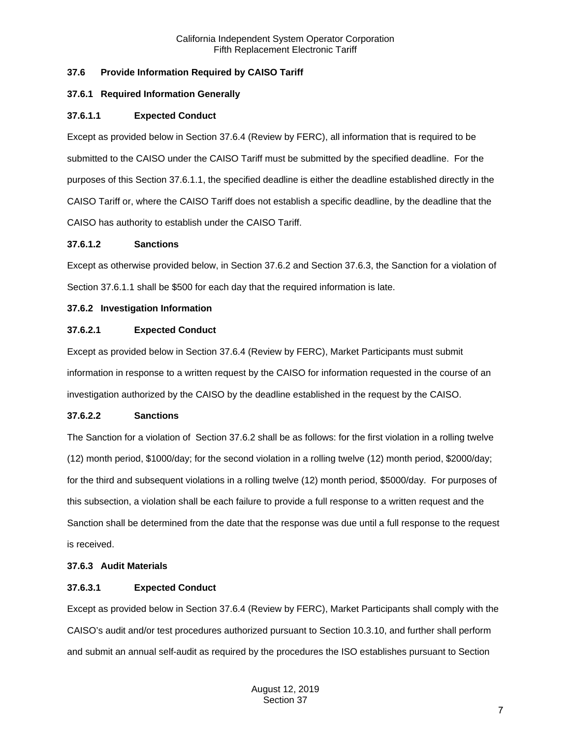# <span id="page-6-0"></span>**37.6 Provide Information Required by CAISO Tariff**

## <span id="page-6-1"></span>**37.6.1 Required Information Generally**

#### **37.6.1.1 Expected Conduct**

Except as provided below in Section 37.6.4 (Review by FERC), all information that is required to be submitted to the CAISO under the CAISO Tariff must be submitted by the specified deadline. For the purposes of this Section 37.6.1.1, the specified deadline is either the deadline established directly in the CAISO Tariff or, where the CAISO Tariff does not establish a specific deadline, by the deadline that the CAISO has authority to establish under the CAISO Tariff.

#### **37.6.1.2 Sanctions**

Except as otherwise provided below, in Section 37.6.2 and Section 37.6.3, the Sanction for a violation of Section 37.6.1.1 shall be \$500 for each day that the required information is late.

#### <span id="page-6-2"></span>**37.6.2 Investigation Information**

#### **37.6.2.1 Expected Conduct**

Except as provided below in Section 37.6.4 (Review by FERC), Market Participants must submit information in response to a written request by the CAISO for information requested in the course of an investigation authorized by the CAISO by the deadline established in the request by the CAISO.

## **37.6.2.2 Sanctions**

The Sanction for a violation of Section 37.6.2 shall be as follows: for the first violation in a rolling twelve (12) month period, \$1000/day; for the second violation in a rolling twelve (12) month period, \$2000/day; for the third and subsequent violations in a rolling twelve (12) month period, \$5000/day. For purposes of this subsection, a violation shall be each failure to provide a full response to a written request and the Sanction shall be determined from the date that the response was due until a full response to the request is received.

#### <span id="page-6-3"></span>**37.6.3 Audit Materials**

## **37.6.3.1 Expected Conduct**

Except as provided below in Section 37.6.4 (Review by FERC), Market Participants shall comply with the CAISO's audit and/or test procedures authorized pursuant to Section 10.3.10, and further shall perform and submit an annual self-audit as required by the procedures the ISO establishes pursuant to Section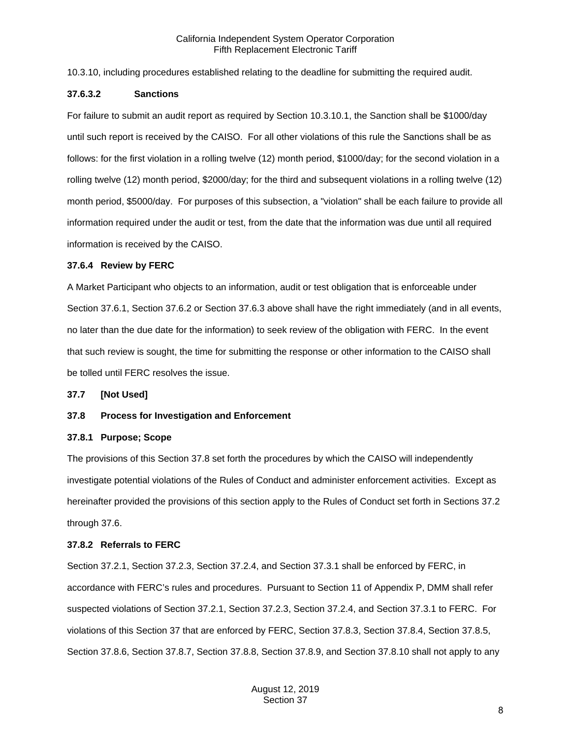10.3.10, including procedures established relating to the deadline for submitting the required audit.

#### **37.6.3.2 Sanctions**

For failure to submit an audit report as required by Section 10.3.10.1, the Sanction shall be \$1000/day until such report is received by the CAISO. For all other violations of this rule the Sanctions shall be as follows: for the first violation in a rolling twelve (12) month period, \$1000/day; for the second violation in a rolling twelve (12) month period, \$2000/day; for the third and subsequent violations in a rolling twelve (12) month period, \$5000/day. For purposes of this subsection, a "violation" shall be each failure to provide all information required under the audit or test, from the date that the information was due until all required information is received by the CAISO.

#### <span id="page-7-0"></span>**37.6.4 Review by FERC**

A Market Participant who objects to an information, audit or test obligation that is enforceable under Section 37.6.1, Section 37.6.2 or Section 37.6.3 above shall have the right immediately (and in all events, no later than the due date for the information) to seek review of the obligation with FERC. In the event that such review is sought, the time for submitting the response or other information to the CAISO shall be tolled until FERC resolves the issue.

<span id="page-7-1"></span>**37.7 [Not Used]**

## <span id="page-7-2"></span>**37.8 Process for Investigation and Enforcement**

#### <span id="page-7-3"></span>**37.8.1 Purpose; Scope**

The provisions of this Section 37.8 set forth the procedures by which the CAISO will independently investigate potential violations of the Rules of Conduct and administer enforcement activities. Except as hereinafter provided the provisions of this section apply to the Rules of Conduct set forth in Sections 37.2 through 37.6.

## <span id="page-7-4"></span>**37.8.2 Referrals to FERC**

Section 37.2.1, Section 37.2.3, Section 37.2.4, and Section 37.3.1 shall be enforced by FERC, in accordance with FERC's rules and procedures. Pursuant to Section 11 of Appendix P, DMM shall refer suspected violations of Section 37.2.1, Section 37.2.3, Section 37.2.4, and Section 37.3.1 to FERC. For violations of this Section 37 that are enforced by FERC, Section 37.8.3, Section 37.8.4, Section 37.8.5, Section 37.8.6, Section 37.8.7, Section 37.8.8, Section 37.8.9, and Section 37.8.10 shall not apply to any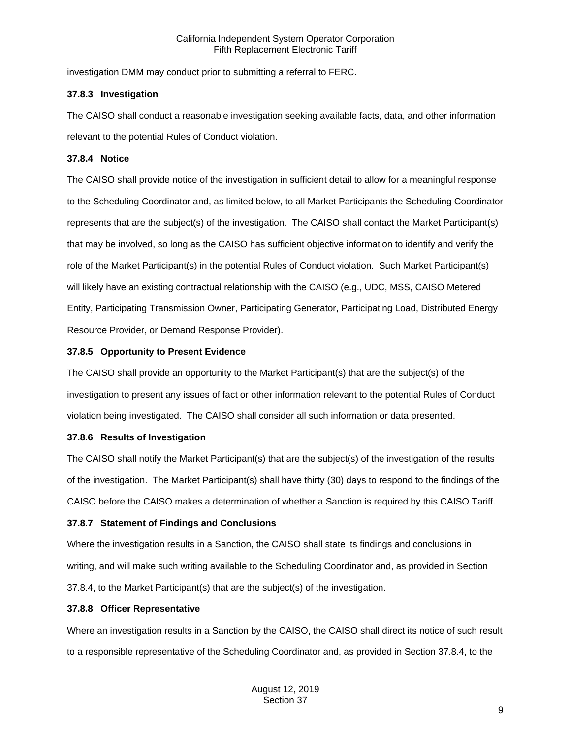investigation DMM may conduct prior to submitting a referral to FERC.

#### <span id="page-8-0"></span>**37.8.3 Investigation**

The CAISO shall conduct a reasonable investigation seeking available facts, data, and other information relevant to the potential Rules of Conduct violation.

## <span id="page-8-1"></span>**37.8.4 Notice**

The CAISO shall provide notice of the investigation in sufficient detail to allow for a meaningful response to the Scheduling Coordinator and, as limited below, to all Market Participants the Scheduling Coordinator represents that are the subject(s) of the investigation. The CAISO shall contact the Market Participant(s) that may be involved, so long as the CAISO has sufficient objective information to identify and verify the role of the Market Participant(s) in the potential Rules of Conduct violation. Such Market Participant(s) will likely have an existing contractual relationship with the CAISO (e.g., UDC, MSS, CAISO Metered Entity, Participating Transmission Owner, Participating Generator, Participating Load, Distributed Energy Resource Provider, or Demand Response Provider).

## <span id="page-8-2"></span>**37.8.5 Opportunity to Present Evidence**

The CAISO shall provide an opportunity to the Market Participant(s) that are the subject(s) of the investigation to present any issues of fact or other information relevant to the potential Rules of Conduct violation being investigated. The CAISO shall consider all such information or data presented.

## <span id="page-8-3"></span>**37.8.6 Results of Investigation**

The CAISO shall notify the Market Participant(s) that are the subject(s) of the investigation of the results of the investigation. The Market Participant(s) shall have thirty (30) days to respond to the findings of the CAISO before the CAISO makes a determination of whether a Sanction is required by this CAISO Tariff.

## <span id="page-8-4"></span>**37.8.7 Statement of Findings and Conclusions**

Where the investigation results in a Sanction, the CAISO shall state its findings and conclusions in writing, and will make such writing available to the Scheduling Coordinator and, as provided in Section 37.8.4, to the Market Participant(s) that are the subject(s) of the investigation.

## <span id="page-8-5"></span>**37.8.8 Officer Representative**

Where an investigation results in a Sanction by the CAISO, the CAISO shall direct its notice of such result to a responsible representative of the Scheduling Coordinator and, as provided in Section 37.8.4, to the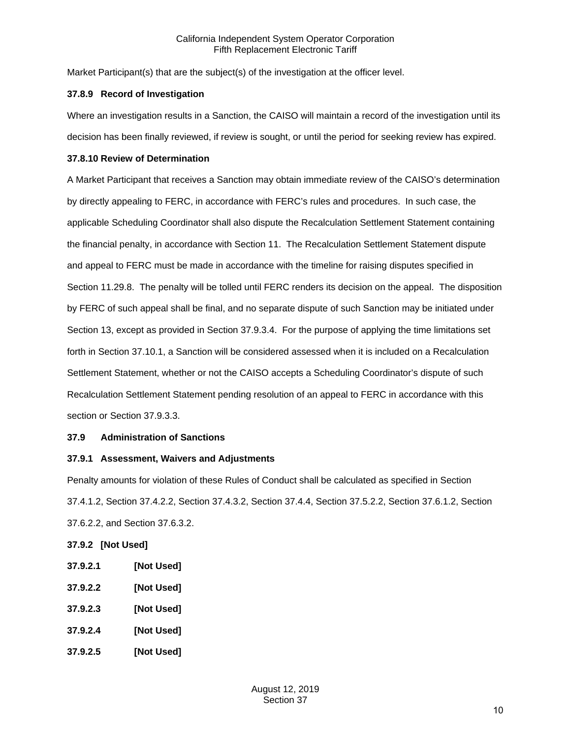Market Participant(s) that are the subject(s) of the investigation at the officer level.

## <span id="page-9-0"></span>**37.8.9 Record of Investigation**

Where an investigation results in a Sanction, the CAISO will maintain a record of the investigation until its decision has been finally reviewed, if review is sought, or until the period for seeking review has expired.

## <span id="page-9-1"></span>**37.8.10 Review of Determination**

A Market Participant that receives a Sanction may obtain immediate review of the CAISO's determination by directly appealing to FERC, in accordance with FERC's rules and procedures. In such case, the applicable Scheduling Coordinator shall also dispute the Recalculation Settlement Statement containing the financial penalty, in accordance with Section 11. The Recalculation Settlement Statement dispute and appeal to FERC must be made in accordance with the timeline for raising disputes specified in Section 11.29.8. The penalty will be tolled until FERC renders its decision on the appeal. The disposition by FERC of such appeal shall be final, and no separate dispute of such Sanction may be initiated under Section 13, except as provided in Section 37.9.3.4. For the purpose of applying the time limitations set forth in Section 37.10.1, a Sanction will be considered assessed when it is included on a Recalculation Settlement Statement, whether or not the CAISO accepts a Scheduling Coordinator's dispute of such Recalculation Settlement Statement pending resolution of an appeal to FERC in accordance with this section or Section 37.9.3.3.

# <span id="page-9-2"></span>**37.9 Administration of Sanctions**

# <span id="page-9-3"></span>**37.9.1 Assessment, Waivers and Adjustments**

Penalty amounts for violation of these Rules of Conduct shall be calculated as specified in Section 37.4.1.2, Section 37.4.2.2, Section 37.4.3.2, Section 37.4.4, Section 37.5.2.2, Section 37.6.1.2, Section 37.6.2.2, and Section 37.6.3.2.

# <span id="page-9-4"></span>**37.9.2 [Not Used]**

- **37.9.2.1 [Not Used]**
- **37.9.2.2 [Not Used]**
- **37.9.2.3 [Not Used]**
- **37.9.2.4 [Not Used]**
- **37.9.2.5 [Not Used]**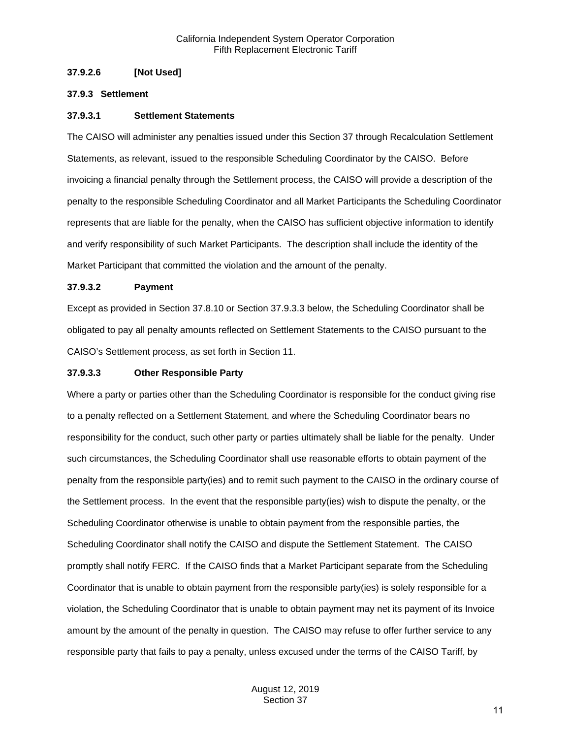## **37.9.2.6 [Not Used]**

#### <span id="page-10-0"></span>**37.9.3 Settlement**

#### **37.9.3.1 Settlement Statements**

The CAISO will administer any penalties issued under this Section 37 through Recalculation Settlement Statements, as relevant, issued to the responsible Scheduling Coordinator by the CAISO. Before invoicing a financial penalty through the Settlement process, the CAISO will provide a description of the penalty to the responsible Scheduling Coordinator and all Market Participants the Scheduling Coordinator represents that are liable for the penalty, when the CAISO has sufficient objective information to identify and verify responsibility of such Market Participants. The description shall include the identity of the Market Participant that committed the violation and the amount of the penalty.

#### **37.9.3.2 Payment**

Except as provided in Section 37.8.10 or Section 37.9.3.3 below, the Scheduling Coordinator shall be obligated to pay all penalty amounts reflected on Settlement Statements to the CAISO pursuant to the CAISO's Settlement process, as set forth in Section 11.

#### **37.9.3.3 Other Responsible Party**

Where a party or parties other than the Scheduling Coordinator is responsible for the conduct giving rise to a penalty reflected on a Settlement Statement, and where the Scheduling Coordinator bears no responsibility for the conduct, such other party or parties ultimately shall be liable for the penalty. Under such circumstances, the Scheduling Coordinator shall use reasonable efforts to obtain payment of the penalty from the responsible party(ies) and to remit such payment to the CAISO in the ordinary course of the Settlement process. In the event that the responsible party(ies) wish to dispute the penalty, or the Scheduling Coordinator otherwise is unable to obtain payment from the responsible parties, the Scheduling Coordinator shall notify the CAISO and dispute the Settlement Statement. The CAISO promptly shall notify FERC. If the CAISO finds that a Market Participant separate from the Scheduling Coordinator that is unable to obtain payment from the responsible party(ies) is solely responsible for a violation, the Scheduling Coordinator that is unable to obtain payment may net its payment of its Invoice amount by the amount of the penalty in question. The CAISO may refuse to offer further service to any responsible party that fails to pay a penalty, unless excused under the terms of the CAISO Tariff, by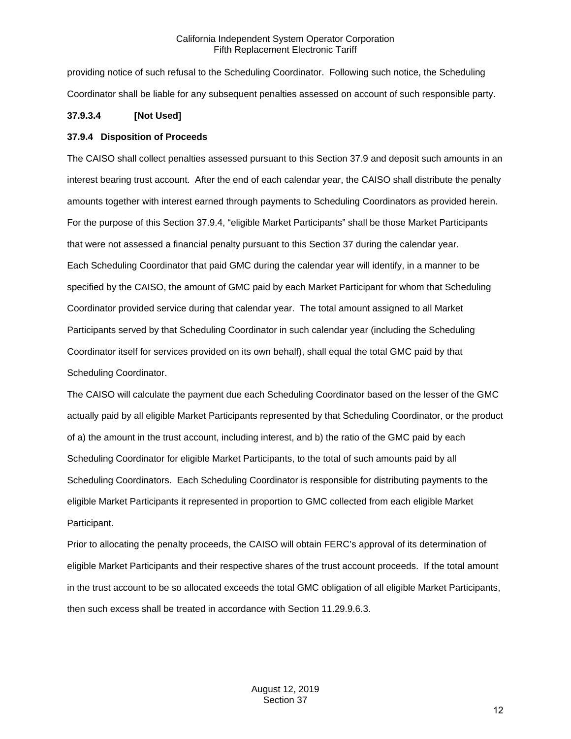providing notice of such refusal to the Scheduling Coordinator. Following such notice, the Scheduling Coordinator shall be liable for any subsequent penalties assessed on account of such responsible party.

# **37.9.3.4 [Not Used]**

## <span id="page-11-0"></span>**37.9.4 Disposition of Proceeds**

The CAISO shall collect penalties assessed pursuant to this Section 37.9 and deposit such amounts in an interest bearing trust account. After the end of each calendar year, the CAISO shall distribute the penalty amounts together with interest earned through payments to Scheduling Coordinators as provided herein. For the purpose of this Section 37.9.4, "eligible Market Participants" shall be those Market Participants that were not assessed a financial penalty pursuant to this Section 37 during the calendar year. Each Scheduling Coordinator that paid GMC during the calendar year will identify, in a manner to be specified by the CAISO, the amount of GMC paid by each Market Participant for whom that Scheduling Coordinator provided service during that calendar year. The total amount assigned to all Market Participants served by that Scheduling Coordinator in such calendar year (including the Scheduling Coordinator itself for services provided on its own behalf), shall equal the total GMC paid by that Scheduling Coordinator.

The CAISO will calculate the payment due each Scheduling Coordinator based on the lesser of the GMC actually paid by all eligible Market Participants represented by that Scheduling Coordinator, or the product of a) the amount in the trust account, including interest, and b) the ratio of the GMC paid by each Scheduling Coordinator for eligible Market Participants, to the total of such amounts paid by all Scheduling Coordinators. Each Scheduling Coordinator is responsible for distributing payments to the eligible Market Participants it represented in proportion to GMC collected from each eligible Market Participant.

Prior to allocating the penalty proceeds, the CAISO will obtain FERC's approval of its determination of eligible Market Participants and their respective shares of the trust account proceeds. If the total amount in the trust account to be so allocated exceeds the total GMC obligation of all eligible Market Participants, then such excess shall be treated in accordance with Section 11.29.9.6.3.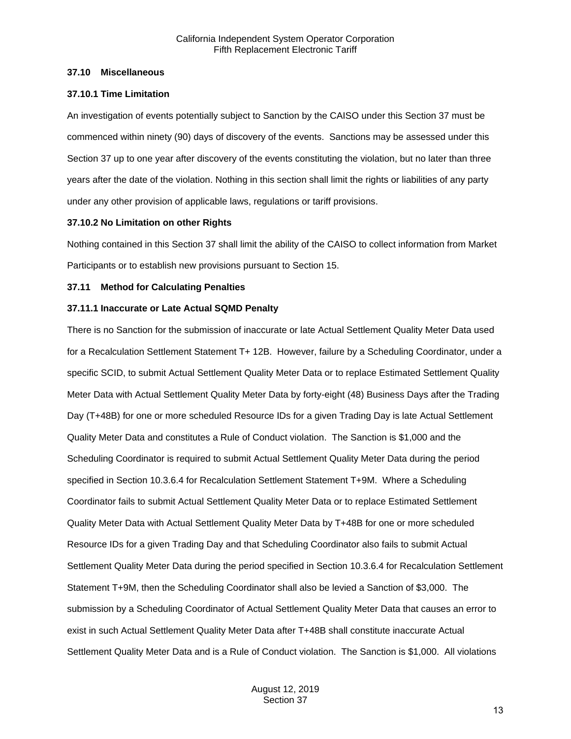#### <span id="page-12-0"></span>**37.10 Miscellaneous**

#### <span id="page-12-1"></span>**37.10.1 Time Limitation**

An investigation of events potentially subject to Sanction by the CAISO under this Section 37 must be commenced within ninety (90) days of discovery of the events. Sanctions may be assessed under this Section 37 up to one year after discovery of the events constituting the violation, but no later than three years after the date of the violation. Nothing in this section shall limit the rights or liabilities of any party under any other provision of applicable laws, regulations or tariff provisions.

#### <span id="page-12-2"></span>**37.10.2 No Limitation on other Rights**

Nothing contained in this Section 37 shall limit the ability of the CAISO to collect information from Market Participants or to establish new provisions pursuant to Section 15.

#### <span id="page-12-3"></span>**37.11 Method for Calculating Penalties**

#### <span id="page-12-4"></span>**37.11.1 Inaccurate or Late Actual SQMD Penalty**

There is no Sanction for the submission of inaccurate or late Actual Settlement Quality Meter Data used for a Recalculation Settlement Statement T+ 12B. However, failure by a Scheduling Coordinator, under a specific SCID, to submit Actual Settlement Quality Meter Data or to replace Estimated Settlement Quality Meter Data with Actual Settlement Quality Meter Data by forty-eight (48) Business Days after the Trading Day (T+48B) for one or more scheduled Resource IDs for a given Trading Day is late Actual Settlement Quality Meter Data and constitutes a Rule of Conduct violation. The Sanction is \$1,000 and the Scheduling Coordinator is required to submit Actual Settlement Quality Meter Data during the period specified in Section 10.3.6.4 for Recalculation Settlement Statement T+9M. Where a Scheduling Coordinator fails to submit Actual Settlement Quality Meter Data or to replace Estimated Settlement Quality Meter Data with Actual Settlement Quality Meter Data by T+48B for one or more scheduled Resource IDs for a given Trading Day and that Scheduling Coordinator also fails to submit Actual Settlement Quality Meter Data during the period specified in Section 10.3.6.4 for Recalculation Settlement Statement T+9M, then the Scheduling Coordinator shall also be levied a Sanction of \$3,000. The submission by a Scheduling Coordinator of Actual Settlement Quality Meter Data that causes an error to exist in such Actual Settlement Quality Meter Data after T+48B shall constitute inaccurate Actual Settlement Quality Meter Data and is a Rule of Conduct violation. The Sanction is \$1,000. All violations